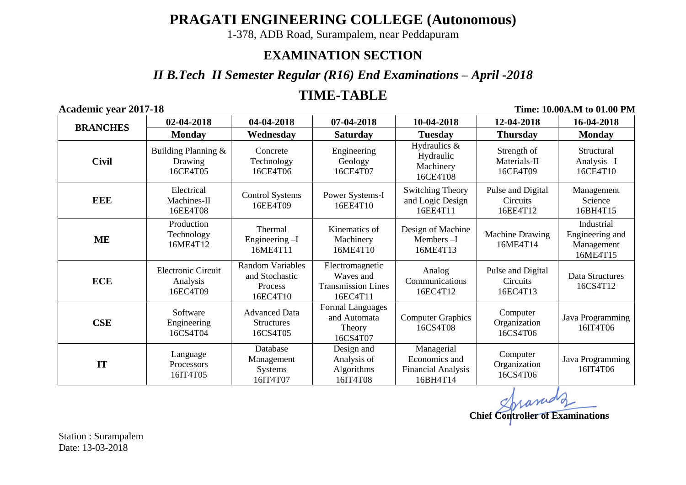**PRAGATI ENGINEERING COLLEGE (Autonomous)**

1-378, ADB Road, Surampalem, near Peddapuram

## **EXAMINATION SECTION**

*II B.Tech II Semester Regular (R16) End Examinations – April -2018*

# **TIME-TABLE**

**Academic year 2017-18 Time: 10.00A.M to 01.00 PM**

| <b>BRANCHES</b> | 02-04-2018                                        | 04-04-2018                                                              | 07-04-2018                                                            | 10-04-2018                                                           | 12-04-2018                                | 16-04-2018                                              |
|-----------------|---------------------------------------------------|-------------------------------------------------------------------------|-----------------------------------------------------------------------|----------------------------------------------------------------------|-------------------------------------------|---------------------------------------------------------|
|                 | <b>Monday</b>                                     | Wednesday                                                               | <b>Saturday</b>                                                       | <b>Tuesday</b>                                                       | <b>Thursday</b>                           | <b>Monday</b>                                           |
| <b>Civil</b>    | Building Planning &<br>Drawing<br>16CE4T05        | Concrete<br>Technology<br>16CE4T06                                      | Engineering<br>Geology<br>16CE4T07                                    | Hydraulics &<br>Hydraulic<br>Machinery<br>16CE4T08                   | Strength of<br>Materials-II<br>16CE4T09   | Structural<br>Analysis-I<br>16CE4T10                    |
| EEE             | Electrical<br>Machines-II<br>16EE4T08             | <b>Control Systems</b><br>16EE4T09                                      | Power Systems-I<br>16EE4T10                                           | <b>Switching Theory</b><br>and Logic Design<br>16EE4T11              | Pulse and Digital<br>Circuits<br>16EE4T12 | Management<br>Science<br>16BH4T15                       |
| ME              | Production<br>Technology<br>16ME4T12              | Thermal<br>Engineering $-I$<br>16ME4T11                                 | Kinematics of<br>Machinery<br>16ME4T10                                | Design of Machine<br>Members-I<br>16ME4T13                           | Machine Drawing<br>16ME4T14               | Industrial<br>Engineering and<br>Management<br>16ME4T15 |
| <b>ECE</b>      | <b>Electronic Circuit</b><br>Analysis<br>16EC4T09 | <b>Random Variables</b><br>and Stochastic<br><b>Process</b><br>16EC4T10 | Electromagnetic<br>Waves and<br><b>Transmission Lines</b><br>16EC4T11 | Analog<br>Communications<br>16EC4T12                                 | Pulse and Digital<br>Circuits<br>16EC4T13 | Data Structures<br>16CS4T12                             |
| <b>CSE</b>      | Software<br>Engineering<br>16CS4T04               | <b>Advanced Data</b><br><b>Structures</b><br>16CS4T05                   | <b>Formal Languages</b><br>and Automata<br>Theory<br>16CS4T07         | <b>Computer Graphics</b><br>16CS4T08                                 | Computer<br>Organization<br>16CS4T06      | Java Programming<br>16IT4T06                            |
| IT              | Language<br>Processors<br>16IT4T05                | Database<br>Management<br><b>Systems</b><br>16IT4T07                    | Design and<br>Analysis of<br>Algorithms<br>16IT4T08                   | Managerial<br>Economics and<br><b>Financial Analysis</b><br>16BH4T14 | Computer<br>Organization<br>16CS4T06      | Java Programming<br>16IT4T06                            |

**Chief Controller of Examinations**

Station : Surampalem Date: 13-03-2018